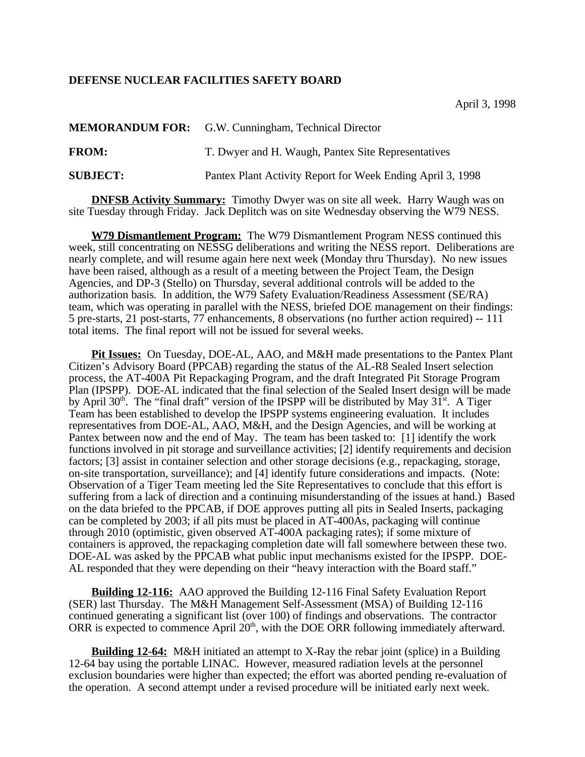## **DEFENSE NUCLEAR FACILITIES SAFETY BOARD**

|                 | <b>MEMORANDUM FOR:</b> G.W. Cunningham, Technical Director |
|-----------------|------------------------------------------------------------|
| <b>FROM:</b>    | T. Dwyer and H. Waugh, Pantex Site Representatives         |
| <b>SUBJECT:</b> | Pantex Plant Activity Report for Week Ending April 3, 1998 |

**DNFSB Activity Summary:** Timothy Dwyer was on site all week. Harry Waugh was on site Tuesday through Friday. Jack Deplitch was on site Wednesday observing the W79 NESS.

**W79 Dismantlement Program:** The W79 Dismantlement Program NESS continued this week, still concentrating on NESSG deliberations and writing the NESS report. Deliberations are nearly complete, and will resume again here next week (Monday thru Thursday). No new issues have been raised, although as a result of a meeting between the Project Team, the Design Agencies, and DP-3 (Stello) on Thursday, several additional controls will be added to the authorization basis. In addition, the W79 Safety Evaluation/Readiness Assessment (SE/RA) team, which was operating in parallel with the NESS, briefed DOE management on their findings: 5 pre-starts, 21 post-starts, 77 enhancements, 8 observations (no further action required) -- 111 total items. The final report will not be issued for several weeks.

**Pit Issues:** On Tuesday, DOE-AL, AAO, and M&H made presentations to the Pantex Plant Citizen's Advisory Board (PPCAB) regarding the status of the AL-R8 Sealed Insert selection process, the AT-400A Pit Repackaging Program, and the draft Integrated Pit Storage Program Plan (IPSPP). DOE-AL indicated that the final selection of the Sealed Insert design will be made by April 30<sup>th</sup>. The "final draft" version of the IPSPP will be distributed by May 31<sup>st</sup>. A Tiger Team has been established to develop the IPSPP systems engineering evaluation. It includes representatives from DOE-AL, AAO, M&H, and the Design Agencies, and will be working at Pantex between now and the end of May. The team has been tasked to: [1] identify the work functions involved in pit storage and surveillance activities; [2] identify requirements and decision factors; [3] assist in container selection and other storage decisions (e.g., repackaging, storage, on-site transportation, surveillance); and [4] identify future considerations and impacts. (Note: Observation of a Tiger Team meeting led the Site Representatives to conclude that this effort is suffering from a lack of direction and a continuing misunderstanding of the issues at hand.) Based on the data briefed to the PPCAB, if DOE approves putting all pits in Sealed Inserts, packaging can be completed by 2003; if all pits must be placed in AT-400As, packaging will continue through 2010 (optimistic, given observed AT-400A packaging rates); if some mixture of containers is approved, the repackaging completion date will fall somewhere between these two. DOE-AL was asked by the PPCAB what public input mechanisms existed for the IPSPP. DOE-AL responded that they were depending on their "heavy interaction with the Board staff."

**Building 12-116:** AAO approved the Building 12-116 Final Safety Evaluation Report (SER) last Thursday. The M&H Management Self-Assessment (MSA) of Building 12-116 continued generating a significant list (over 100) of findings and observations. The contractor ORR is expected to commence April  $20<sup>th</sup>$ , with the DOE ORR following immediately afterward.

**Building 12-64:** M&H initiated an attempt to X-Ray the rebar joint (splice) in a Building 12-64 bay using the portable LINAC. However, measured radiation levels at the personnel exclusion boundaries were higher than expected; the effort was aborted pending re-evaluation of the operation. A second attempt under a revised procedure will be initiated early next week.